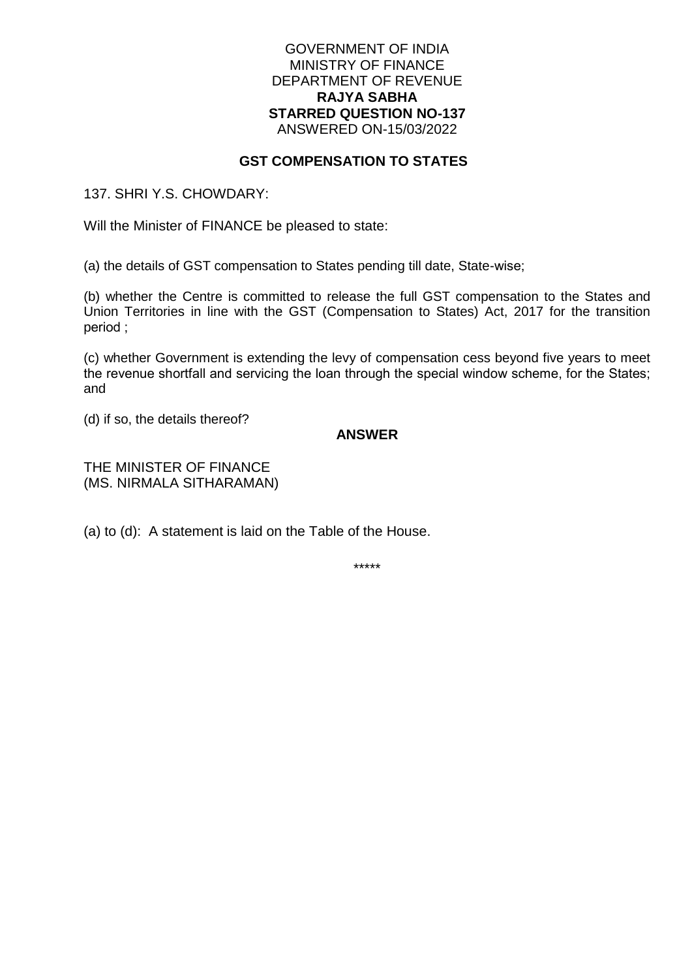#### GOVERNMENT OF INDIA MINISTRY OF FINANCE DEPARTMENT OF REVENUE **RAJYA SABHA STARRED QUESTION NO-137** ANSWERED ON-15/03/2022

### **GST COMPENSATION TO STATES**

137. SHRI Y.S. CHOWDARY:

Will the Minister of FINANCE be pleased to state:

(a) the details of GST compensation to States pending till date, State-wise;

(b) whether the Centre is committed to release the full GST compensation to the States and Union Territories in line with the GST (Compensation to States) Act, 2017 for the transition period ;

(c) whether Government is extending the levy of compensation cess beyond five years to meet the revenue shortfall and servicing the loan through the special window scheme, for the States; and

(d) if so, the details thereof?

### **ANSWER**

THE MINISTER OF FINANCE (MS. NIRMALA SITHARAMAN)

(a) to (d): A statement is laid on the Table of the House.

\*\*\*\*\*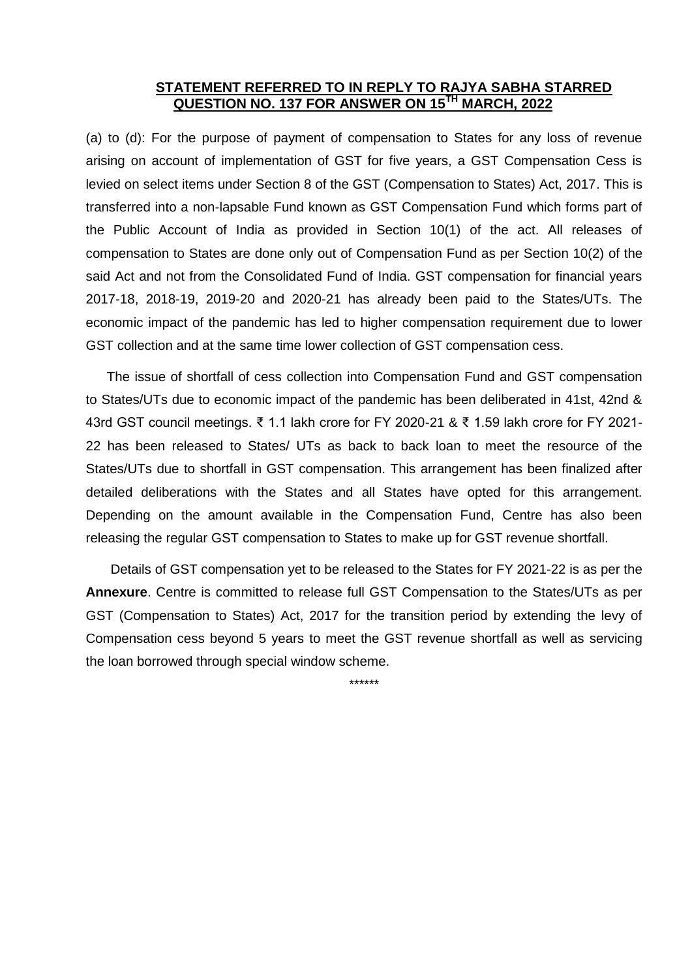## **STATEMENT REFERRED TO IN REPLY TO RAJYA SABHA STARRED QUESTION NO. 137 FOR ANSWER ON 15TH MARCH, 2022**

(a) to (d): For the purpose of payment of compensation to States for any loss of revenue arising on account of implementation of GST for five years, a GST Compensation Cess is levied on select items under Section 8 of the GST (Compensation to States) Act, 2017. This is transferred into a non-lapsable Fund known as GST Compensation Fund which forms part of the Public Account of India as provided in Section 10(1) of the act. All releases of compensation to States are done only out of Compensation Fund as per Section 10(2) of the said Act and not from the Consolidated Fund of India. GST compensation for financial years 2017-18, 2018-19, 2019-20 and 2020-21 has already been paid to the States/UTs. The economic impact of the pandemic has led to higher compensation requirement due to lower GST collection and at the same time lower collection of GST compensation cess.

The issue of shortfall of cess collection into Compensation Fund and GST compensation to States/UTs due to economic impact of the pandemic has been deliberated in 41st, 42nd & 43rd GST council meetings. ₹ 1.1 lakh crore for FY 2020-21 & ₹ 1.59 lakh crore for FY 2021- 22 has been released to States/ UTs as back to back loan to meet the resource of the States/UTs due to shortfall in GST compensation. This arrangement has been finalized after detailed deliberations with the States and all States have opted for this arrangement. Depending on the amount available in the Compensation Fund, Centre has also been releasing the regular GST compensation to States to make up for GST revenue shortfall.

Details of GST compensation yet to be released to the States for FY 2021-22 is as per the **Annexure**. Centre is committed to release full GST Compensation to the States/UTs as per GST (Compensation to States) Act, 2017 for the transition period by extending the levy of Compensation cess beyond 5 years to meet the GST revenue shortfall as well as servicing the loan borrowed through special window scheme.

\*\*\*\*\*\*